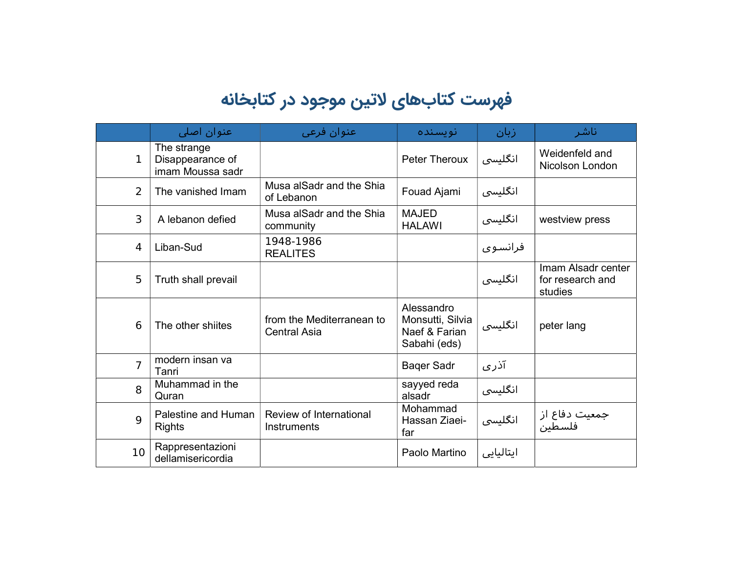## فهرست کتابهای لاتین موجود در کتابخانه

|                | عنوان اصل <i>ی</i>                                  | عنوان فرعي                                       | نو پسنده                                                        | زبان      | ناشر                                              |
|----------------|-----------------------------------------------------|--------------------------------------------------|-----------------------------------------------------------------|-----------|---------------------------------------------------|
| 1              | The strange<br>Disappearance of<br>imam Moussa sadr |                                                  | <b>Peter Theroux</b>                                            | انگلیسی   | Weidenfeld and<br>Nicolson London                 |
| $\overline{2}$ | The vanished Imam                                   | Musa alSadr and the Shia<br>of Lebanon           | Fouad Ajami                                                     | انگلیسی   |                                                   |
| 3              | A lebanon defied                                    | Musa alSadr and the Shia<br>community            | <b>MAJED</b><br><b>HALAWI</b>                                   | انگلیسی   | westview press                                    |
| 4              | Liban-Sud                                           | 1948-1986<br><b>REALITES</b>                     |                                                                 | فرانسوی   |                                                   |
| 5              | Truth shall prevail                                 |                                                  |                                                                 | انگلیسی   | Imam Alsadr center<br>for research and<br>studies |
| 6              | The other shiites                                   | from the Mediterranean to<br><b>Central Asia</b> | Alessandro<br>Monsutti, Silvia<br>Naef & Farian<br>Sabahi (eds) | انگلیسی   | peter lang                                        |
| $\overline{7}$ | modern insan va<br>Tanri                            |                                                  | <b>Baqer Sadr</b>                                               | آذری      |                                                   |
| 8              | Muhammad in the<br>Quran                            |                                                  | sayyed reda<br>alsadr                                           | انگلیسی   |                                                   |
| 9              | Palestine and Human<br><b>Rights</b>                | Review of International<br>Instruments           | Mohammad<br>Hassan Ziaei-<br>far                                | انگلیسی   | جمعیت دفاع از<br>فلسطین                           |
| 10             | Rappresentazioni<br>dellamisericordia               |                                                  | Paolo Martino                                                   | ايتاليايي |                                                   |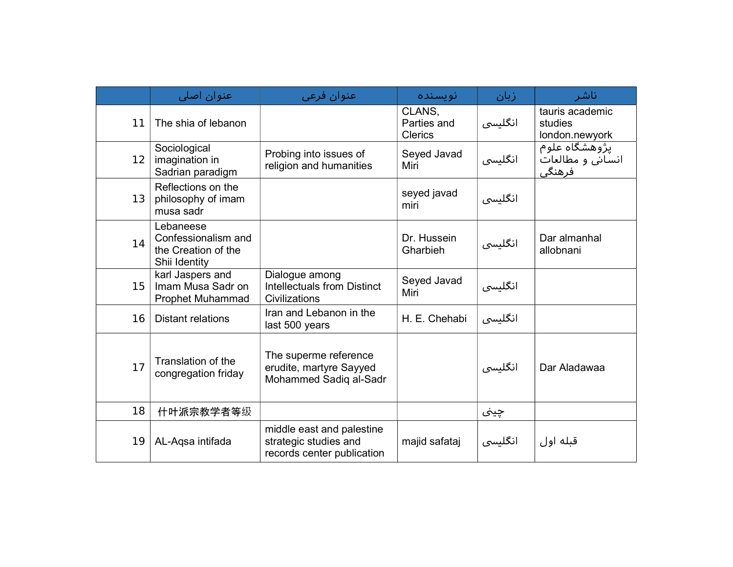|    | عنوان اصلی                                                               | عنوان فرعي                                                                       | انو پسنده                               | زبان    | ناشر                                         |
|----|--------------------------------------------------------------------------|----------------------------------------------------------------------------------|-----------------------------------------|---------|----------------------------------------------|
| 11 | The shia of lebanon                                                      |                                                                                  | CLANS,<br>Parties and<br><b>Clerics</b> | انگلیسی | tauris academic<br>studies<br>london.newyork |
| 12 | Sociological<br>imagination in<br>Sadrian paradigm                       | Probing into issues of<br>religion and humanities                                | Seyed Javad<br>Miri                     | انگلیسی | یژوهشگاه علوم<br>انسانی و مطالعات<br>فرهنگی  |
| 13 | Reflections on the<br>philosophy of imam<br>musa sadr                    |                                                                                  | seyed javad<br>miri                     | انگلیسی |                                              |
| 14 | Lebaneese<br>Confessionalism and<br>the Creation of the<br>Shii Identity |                                                                                  | Dr. Hussein<br>Gharbieh                 | انگلیسی | Dar almanhal<br>allobnani                    |
| 15 | karl Jaspers and<br>Imam Musa Sadr on<br>Prophet Muhammad                | Dialogue among<br><b>Intellectuals from Distinct</b><br>Civilizations            | Seyed Javad<br>Miri                     | انگلیسی |                                              |
| 16 | <b>Distant relations</b>                                                 | Iran and Lebanon in the<br>last 500 years                                        | H. E. Chehabi                           | انگلیسی |                                              |
| 17 | Translation of the<br>congregation friday                                | The superme reference<br>erudite, martyre Sayyed<br>Mohammed Sadiq al-Sadr       |                                         | انگلیسی | Dar Aladawaa                                 |
| 18 | 什叶派宗教学者等级                                                                |                                                                                  |                                         | چينی    |                                              |
| 19 | AL-Aqsa intifada                                                         | middle east and palestine<br>strategic studies and<br>records center publication | majid safataj                           | انگلیسی | قبله اول                                     |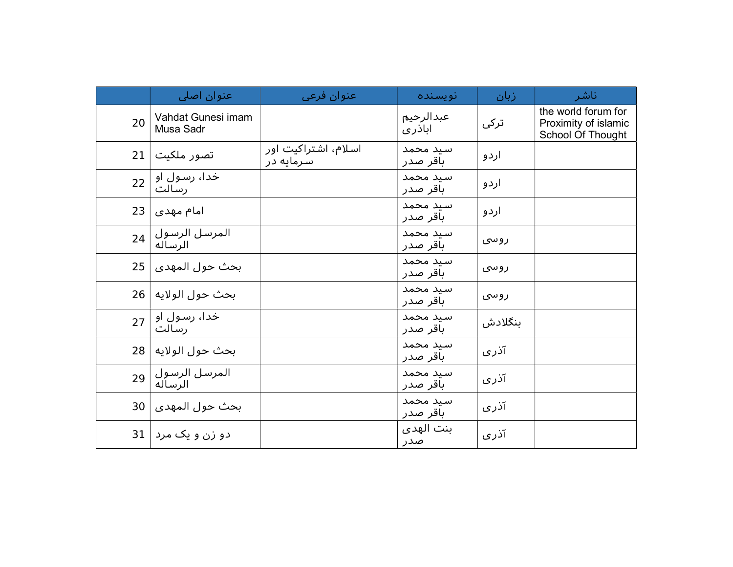|    | عنوان اصلی                      | عنوان فرعي                       | نو پسنده             | زبان    | ناشر                                                             |
|----|---------------------------------|----------------------------------|----------------------|---------|------------------------------------------------------------------|
| 20 | Vahdat Gunesi imam<br>Musa Sadr |                                  | عبدالرحيم<br>اباذری  | ترکی    | the world forum for<br>Proximity of islamic<br>School Of Thought |
| 21 | تصور ملکیت                      | اسلام، اشتراکیت اور<br>سرمایه در | سيد محمد<br>باقر صدر | اردو    |                                                                  |
| 22 | خدا، رسول او<br>رسالت           |                                  | سيد محمد<br>باقر صدر | اردو    |                                                                  |
| 23 | امام مهدی                       |                                  | سيد محمد<br>باقر صدر | اردو    |                                                                  |
| 24 | المرسل الرسول  <br>الرساله      |                                  | سيد محمد<br>باقر صدر | روسی    |                                                                  |
| 25 | بحث حول المهدى ا                |                                  | سند محمد<br>باقر صدر | ر و سی  |                                                                  |
| 26 | بحث حول الولايه                 |                                  | سىد محمد<br>باقر صدر | روسی    |                                                                  |
| 27 | خدا، رسول او ا<br>رسالت         |                                  | سىد محمد<br>باقر صدر | بنگلادش |                                                                  |
|    | بحث حول الولايه   28            |                                  | سيد محمد<br>باقر صدر | آذری    |                                                                  |
| 29 | المرسل الرسول  <br>الرساله      |                                  | سيد محمد<br>باقر صدر | آذری    |                                                                  |
| 30 | بحث حول المهدى                  |                                  | سيد محمد<br>باقر صدر | آذری    |                                                                  |
| 31 | دو زن و یک مرد                  |                                  | بنت الهدى<br>صدر     | آذری    |                                                                  |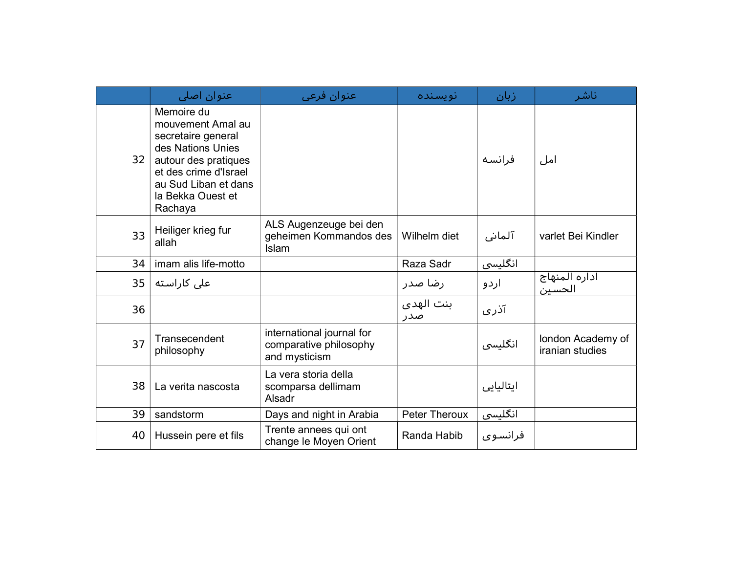|    | عنوان اصلی                                                                                                                                                                          | عنوان فرعى                                                           | نو پسنده         | زبان      | ناشر                                 |
|----|-------------------------------------------------------------------------------------------------------------------------------------------------------------------------------------|----------------------------------------------------------------------|------------------|-----------|--------------------------------------|
| 32 | Memoire du<br>mouvement Amal au<br>secretaire general<br>des Nations Unies<br>autour des pratiques<br>et des crime d'Israel<br>au Sud Liban et dans<br>la Bekka Ouest et<br>Rachaya |                                                                      |                  | فرانسه    | امل                                  |
| 33 | Heiliger krieg fur<br>allah                                                                                                                                                         | ALS Augenzeuge bei den<br>geheimen Kommandos des<br><b>Islam</b>     | Wilhelm diet     | آلمانی    | varlet Bei Kindler                   |
| 34 | imam alis life-motto                                                                                                                                                                |                                                                      | Raza Sadr        | انگلیسی   |                                      |
| 35 | على كاراسته                                                                                                                                                                         |                                                                      | رضا صدر          | اردو      | اداره المنهاج<br>الحسين              |
| 36 |                                                                                                                                                                                     |                                                                      | بنت الهدى<br>صدر | آذری      |                                      |
| 37 | Transecendent<br>philosophy                                                                                                                                                         | international journal for<br>comparative philosophy<br>and mysticism |                  | انگلیسی   | london Academy of<br>iranian studies |
| 38 | La verita nascosta                                                                                                                                                                  | La vera storia della<br>scomparsa dellimam<br>Alsadr                 |                  | ایتالیایی |                                      |
| 39 | sandstorm                                                                                                                                                                           | Days and night in Arabia                                             | Peter Theroux    | انگلیسی   |                                      |
| 40 | Hussein pere et fils                                                                                                                                                                | Trente annees qui ont<br>change le Moyen Orient                      | Randa Habib      | فرانسوی   |                                      |